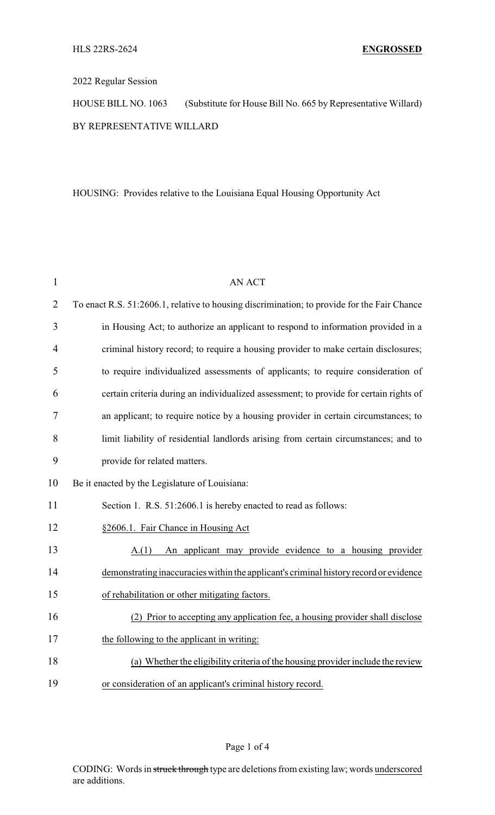## 2022 Regular Session

HOUSE BILL NO. 1063 (Substitute for House Bill No. 665 by Representative Willard) BY REPRESENTATIVE WILLARD

HOUSING: Provides relative to the Louisiana Equal Housing Opportunity Act

| $\mathbf{1}$   | AN ACT                                                                                      |
|----------------|---------------------------------------------------------------------------------------------|
| $\overline{2}$ | To enact R.S. 51:2606.1, relative to housing discrimination; to provide for the Fair Chance |
| 3              | in Housing Act; to authorize an applicant to respond to information provided in a           |
| 4              | criminal history record; to require a housing provider to make certain disclosures;         |
| 5              | to require individualized assessments of applicants; to require consideration of            |
| 6              | certain criteria during an individualized assessment; to provide for certain rights of      |
| 7              | an applicant; to require notice by a housing provider in certain circumstances; to          |
| 8              | limit liability of residential landlords arising from certain circumstances; and to         |
| 9              | provide for related matters.                                                                |
| 10             | Be it enacted by the Legislature of Louisiana:                                              |
| 11             | Section 1. R.S. 51:2606.1 is hereby enacted to read as follows:                             |
| 12             | §2606.1. Fair Chance in Housing Act                                                         |
| 13             | An applicant may provide evidence to a housing provider<br>A(1)                             |
| 14             | demonstrating inaccuracies within the applicant's criminal history record or evidence       |
| 15             | of rehabilitation or other mitigating factors.                                              |
| 16             | (2) Prior to accepting any application fee, a housing provider shall disclose               |
| 17             | the following to the applicant in writing:                                                  |
| 18             | (a) Whether the eligibility criteria of the housing provider include the review             |
| 19             | or consideration of an applicant's criminal history record.                                 |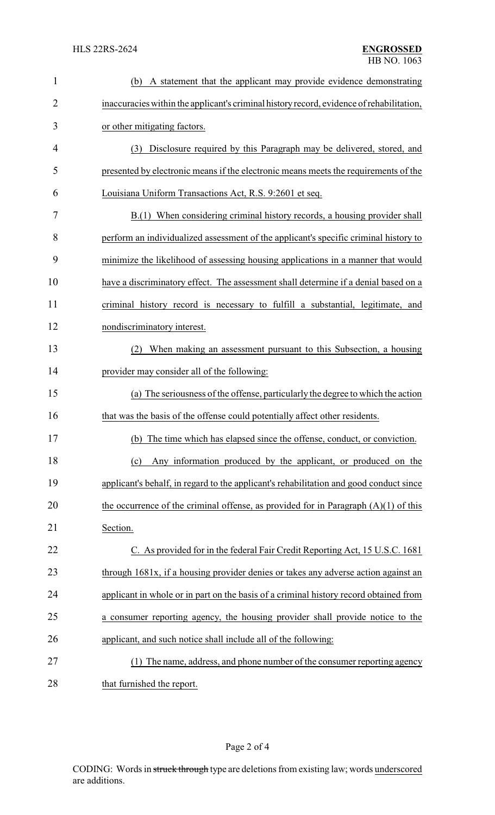| $\mathbf{1}$ | A statement that the applicant may provide evidence demonstrating<br>(b)                 |
|--------------|------------------------------------------------------------------------------------------|
| 2            | inaccuracies within the applicant's criminal history record, evidence of rehabilitation, |
| 3            | or other mitigating factors.                                                             |
| 4            | Disclosure required by this Paragraph may be delivered, stored, and<br>(3)               |
| 5            | presented by electronic means if the electronic means meets the requirements of the      |
| 6            | Louisiana Uniform Transactions Act, R.S. 9:2601 et seq.                                  |
| 7            | B.(1) When considering criminal history records, a housing provider shall                |
| 8            | perform an individualized assessment of the applicant's specific criminal history to     |
| 9            | minimize the likelihood of assessing housing applications in a manner that would         |
| 10           | have a discriminatory effect. The assessment shall determine if a denial based on a      |
| 11           | criminal history record is necessary to fulfill a substantial, legitimate, and           |
| 12           | nondiscriminatory interest.                                                              |
| 13           | When making an assessment pursuant to this Subsection, a housing                         |
| 14           | provider may consider all of the following:                                              |
| 15           | (a) The seriousness of the offense, particularly the degree to which the action          |
| 16           | that was the basis of the offense could potentially affect other residents.              |
| 17           | (b) The time which has elapsed since the offense, conduct, or conviction                 |
| 18           | Any information produced by the applicant, or produced on the<br>(c)                     |
| 19           | applicant's behalf, in regard to the applicant's rehabilitation and good conduct since   |
| 20           | the occurrence of the criminal offense, as provided for in Paragraph $(A)(1)$ of this    |
| 21           | Section.                                                                                 |
| 22           | C. As provided for in the federal Fair Credit Reporting Act, 15 U.S.C. 1681              |
| 23           | through 1681x, if a housing provider denies or takes any adverse action against an       |
| 24           | applicant in whole or in part on the basis of a criminal history record obtained from    |
| 25           | a consumer reporting agency, the housing provider shall provide notice to the            |
| 26           | applicant, and such notice shall include all of the following:                           |
| 27           | The name, address, and phone number of the consumer reporting agency                     |
|              |                                                                                          |

28 that furnished the report.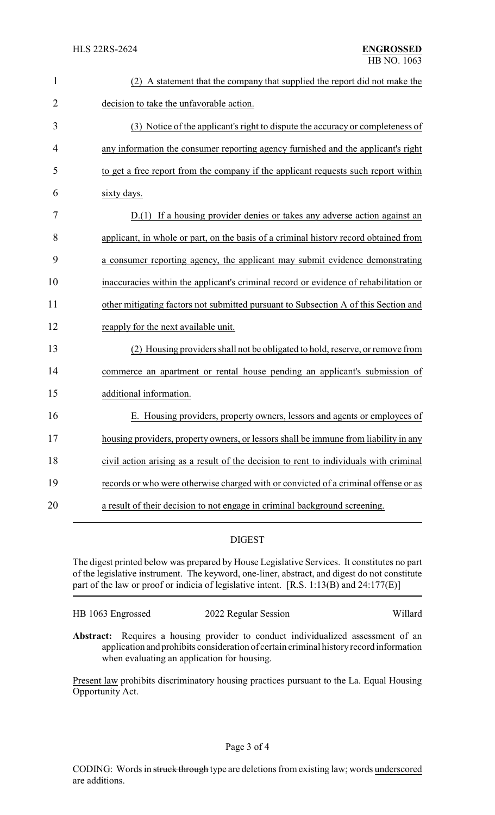| $\mathbf 1$ | (2) A statement that the company that supplied the report did not make the            |
|-------------|---------------------------------------------------------------------------------------|
| 2           | decision to take the unfavorable action.                                              |
| 3           | (3) Notice of the applicant's right to dispute the accuracy or completeness of        |
| 4           | any information the consumer reporting agency furnished and the applicant's right     |
| 5           | to get a free report from the company if the applicant requests such report within    |
| 6           | sixty days.                                                                           |
| 7           | D.(1) If a housing provider denies or takes any adverse action against an             |
| 8           | applicant, in whole or part, on the basis of a criminal history record obtained from  |
| 9           | a consumer reporting agency, the applicant may submit evidence demonstrating          |
| 10          | inaccuracies within the applicant's criminal record or evidence of rehabilitation or  |
| 11          | other mitigating factors not submitted pursuant to Subsection A of this Section and   |
| 12          | reapply for the next available unit.                                                  |
| 13          | (2) Housing providers shall not be obligated to hold, reserve, or remove from         |
| 14          | commerce an apartment or rental house pending an applicant's submission of            |
| 15          | additional information.                                                               |
| 16          | E. Housing providers, property owners, lessors and agents or employees of             |
| 17          | housing providers, property owners, or lessors shall be immune from liability in any  |
| 18          | civil action arising as a result of the decision to rent to individuals with criminal |
| 19          | records or who were otherwise charged with or convicted of a criminal offense or as   |
| 20          | a result of their decision to not engage in criminal background screening.            |

## DIGEST

The digest printed below was prepared by House Legislative Services. It constitutes no part of the legislative instrument. The keyword, one-liner, abstract, and digest do not constitute part of the law or proof or indicia of legislative intent. [R.S. 1:13(B) and 24:177(E)]

| HB 1063 Engrossed | 2022 Regular Session | Willard |
|-------------------|----------------------|---------|
|                   |                      |         |

**Abstract:** Requires a housing provider to conduct individualized assessment of an application and prohibits consideration of certain criminal historyrecord information when evaluating an application for housing.

Present law prohibits discriminatory housing practices pursuant to the La. Equal Housing Opportunity Act.